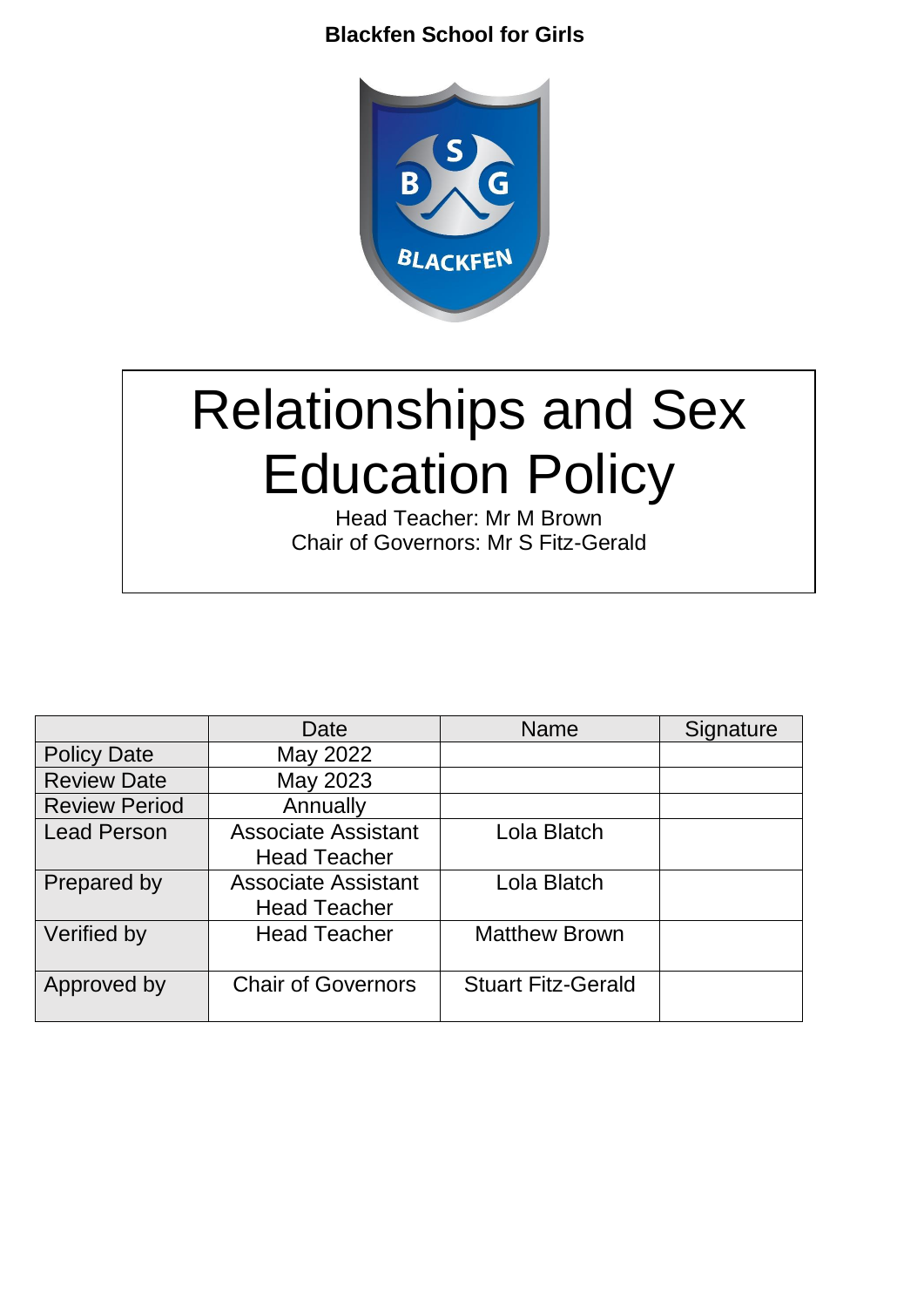

# Relationships and Sex Education Policy

Head Teacher: Mr M Brown Chair of Governors: Mr S Fitz-Gerald

|                      | Date                       | <b>Name</b>               | Signature |
|----------------------|----------------------------|---------------------------|-----------|
| <b>Policy Date</b>   | May 2022                   |                           |           |
| <b>Review Date</b>   | May 2023                   |                           |           |
| <b>Review Period</b> | Annually                   |                           |           |
| <b>Lead Person</b>   | <b>Associate Assistant</b> | Lola Blatch               |           |
|                      | <b>Head Teacher</b>        |                           |           |
| Prepared by          | <b>Associate Assistant</b> | Lola Blatch               |           |
|                      | <b>Head Teacher</b>        |                           |           |
| Verified by          | <b>Head Teacher</b>        | <b>Matthew Brown</b>      |           |
|                      |                            |                           |           |
| Approved by          | <b>Chair of Governors</b>  | <b>Stuart Fitz-Gerald</b> |           |
|                      |                            |                           |           |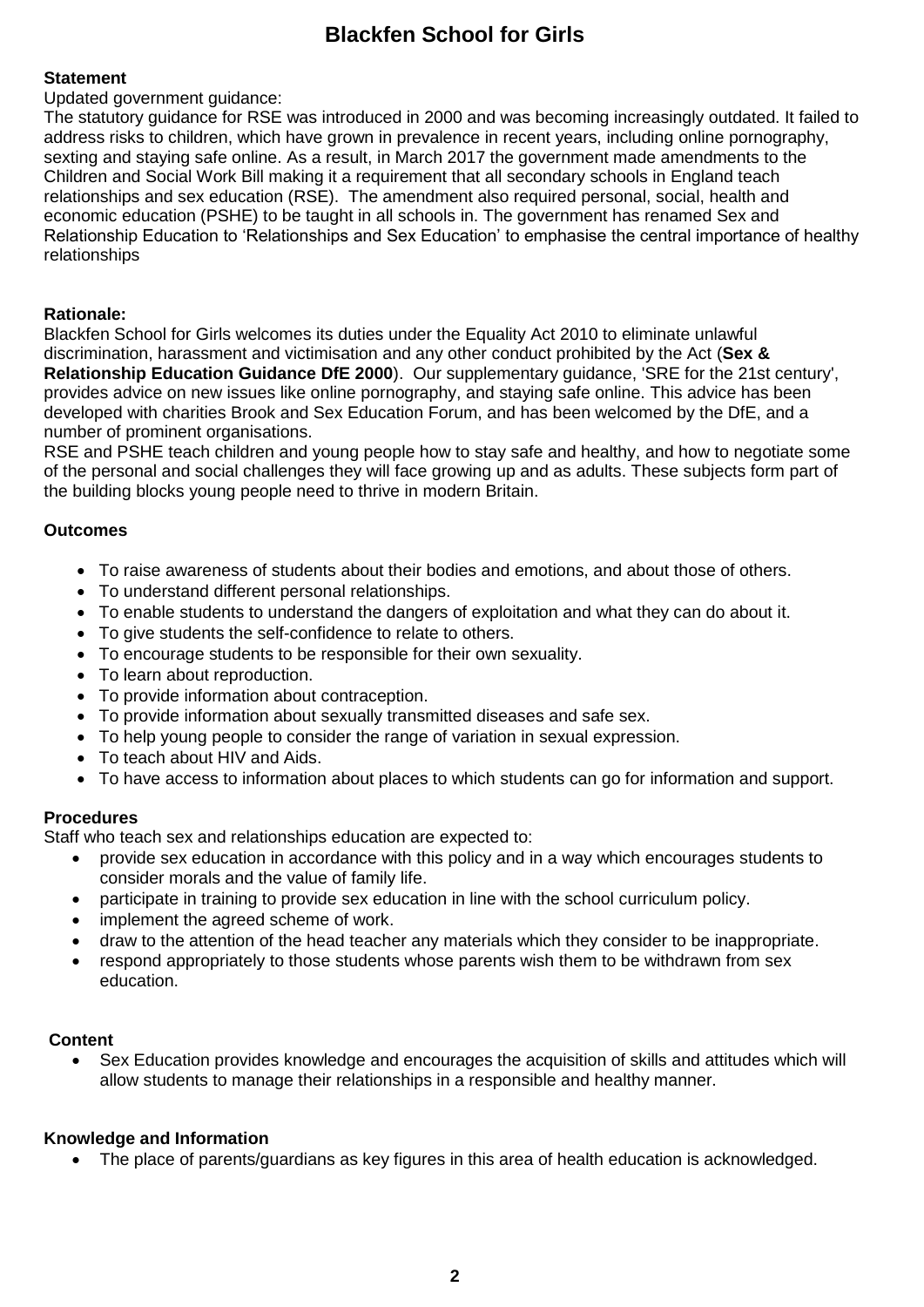# **Statement**

Updated government guidance:

The statutory guidance for RSE was introduced in 2000 and was becoming increasingly outdated. It failed to address risks to children, which have grown in prevalence in recent years, including online pornography, sexting and staying safe online. As a result, in March 2017 the government made amendments to the Children and Social Work Bill making it a requirement that all secondary schools in England teach relationships and sex education (RSE). The amendment also required personal, social, health and economic education (PSHE) to be taught in all schools in. The government has renamed Sex and Relationship Education to 'Relationships and Sex Education' to emphasise the central importance of healthy relationships

# **Rationale:**

Blackfen School for Girls welcomes its duties under the Equality Act 2010 to eliminate unlawful discrimination, harassment and victimisation and any other conduct prohibited by the Act (**Sex & Relationship Education Guidance DfE 2000**). Our supplementary guidance, 'SRE for the 21st century', provides advice on new issues like online pornography, and staying safe online. This advice has been developed with charities Brook and Sex Education Forum, and has been welcomed by the DfE, and a number of prominent organisations.

RSE and PSHE teach children and young people how to stay safe and healthy, and how to negotiate some of the personal and social challenges they will face growing up and as adults. These subjects form part of the building blocks young people need to thrive in modern Britain.

# **Outcomes**

- To raise awareness of students about their bodies and emotions, and about those of others.
- To understand different personal relationships.
- To enable students to understand the dangers of exploitation and what they can do about it.
- To give students the self-confidence to relate to others.
- To encourage students to be responsible for their own sexuality.
- To learn about reproduction.
- To provide information about contraception.
- To provide information about sexually transmitted diseases and safe sex.
- To help young people to consider the range of variation in sexual expression.
- To teach about HIV and Aids.
- To have access to information about places to which students can go for information and support.

# **Procedures**

Staff who teach sex and relationships education are expected to:

- provide sex education in accordance with this policy and in a way which encourages students to consider morals and the value of family life.
- participate in training to provide sex education in line with the school curriculum policy.
- implement the agreed scheme of work.
- draw to the attention of the head teacher any materials which they consider to be inappropriate.
- respond appropriately to those students whose parents wish them to be withdrawn from sex education.

# **Content**

Sex Education provides knowledge and encourages the acquisition of skills and attitudes which will allow students to manage their relationships in a responsible and healthy manner.

# **Knowledge and Information**

• The place of parents/guardians as key figures in this area of health education is acknowledged.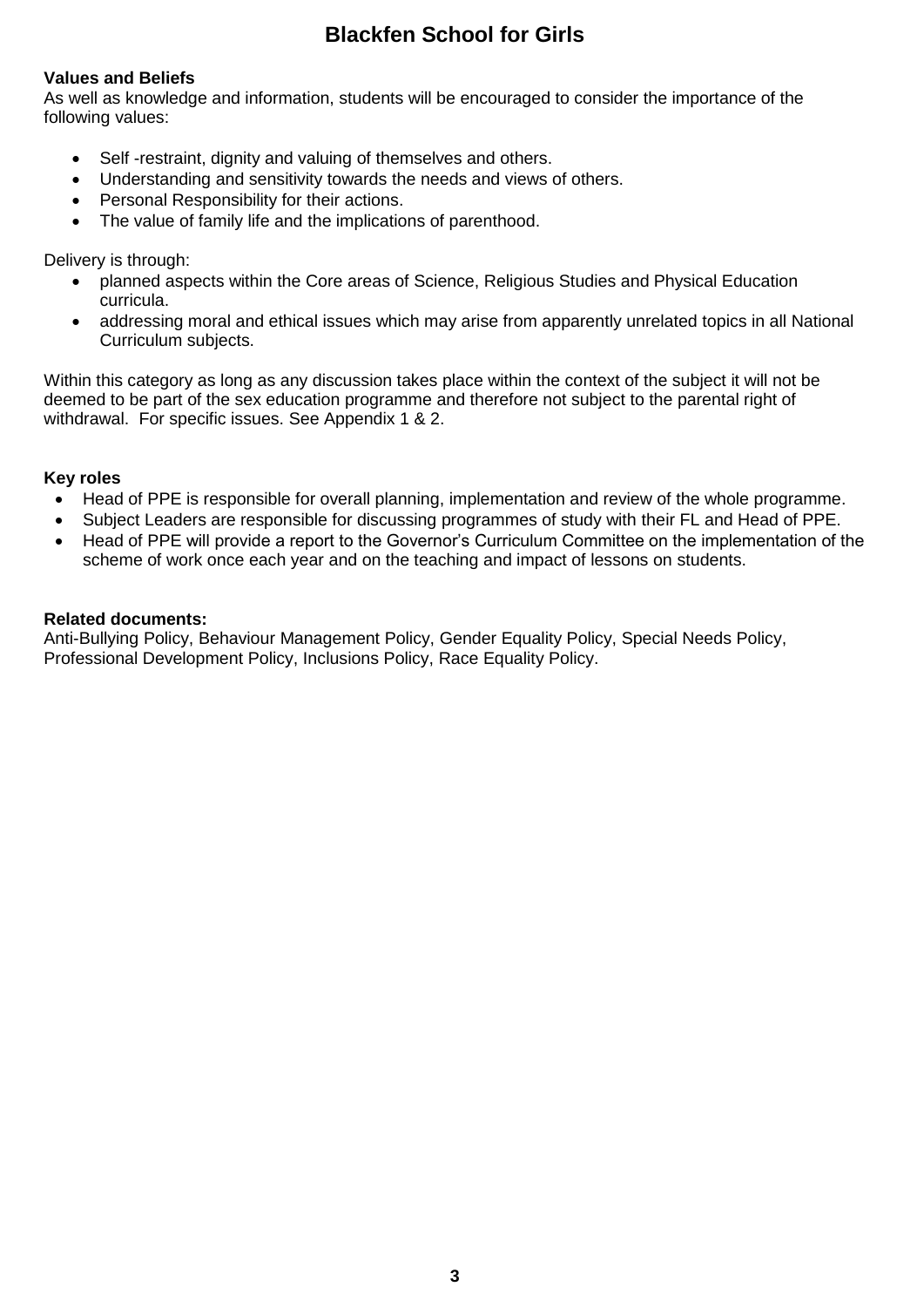## **Values and Beliefs**

As well as knowledge and information, students will be encouraged to consider the importance of the following values:

- Self -restraint, dignity and valuing of themselves and others.
- Understanding and sensitivity towards the needs and views of others.
- Personal Responsibility for their actions.
- The value of family life and the implications of parenthood.

Delivery is through:

- planned aspects within the Core areas of Science, Religious Studies and Physical Education curricula.
- addressing moral and ethical issues which may arise from apparently unrelated topics in all National Curriculum subjects.

Within this category as long as any discussion takes place within the context of the subject it will not be deemed to be part of the sex education programme and therefore not subject to the parental right of withdrawal. For specific issues. See Appendix 1 & 2.

## **Key roles**

- Head of PPE is responsible for overall planning, implementation and review of the whole programme.
- Subject Leaders are responsible for discussing programmes of study with their FL and Head of PPE.
- Head of PPE will provide a report to the Governor's Curriculum Committee on the implementation of the scheme of work once each year and on the teaching and impact of lessons on students.

#### **Related documents:**

Anti-Bullying Policy, Behaviour Management Policy, Gender Equality Policy, Special Needs Policy, Professional Development Policy, Inclusions Policy, Race Equality Policy.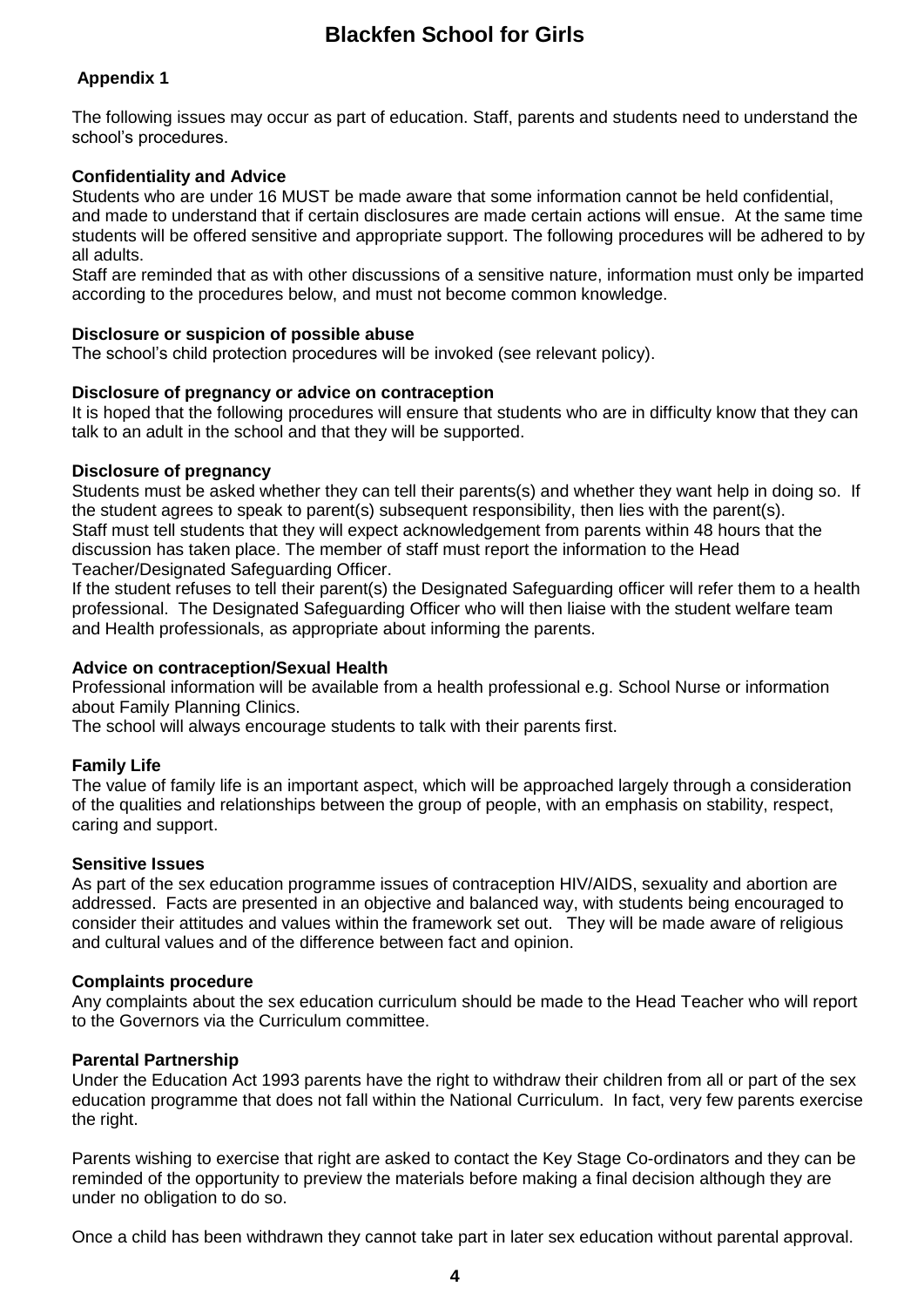# **Appendix 1**

The following issues may occur as part of education. Staff, parents and students need to understand the school's procedures.

#### **Confidentiality and Advice**

Students who are under 16 MUST be made aware that some information cannot be held confidential,

and made to understand that if certain disclosures are made certain actions will ensue. At the same time students will be offered sensitive and appropriate support. The following procedures will be adhered to by all adults.

Staff are reminded that as with other discussions of a sensitive nature, information must only be imparted according to the procedures below, and must not become common knowledge.

#### **Disclosure or suspicion of possible abuse**

The school's child protection procedures will be invoked (see relevant policy).

#### **Disclosure of pregnancy or advice on contraception**

It is hoped that the following procedures will ensure that students who are in difficulty know that they can talk to an adult in the school and that they will be supported.

#### **Disclosure of pregnancy**

Students must be asked whether they can tell their parents(s) and whether they want help in doing so. If the student agrees to speak to parent(s) subsequent responsibility, then lies with the parent(s). Staff must tell students that they will expect acknowledgement from parents within 48 hours that the discussion has taken place. The member of staff must report the information to the Head Teacher/Designated Safeguarding Officer.

If the student refuses to tell their parent(s) the Designated Safeguarding officer will refer them to a health professional. The Designated Safeguarding Officer who will then liaise with the student welfare team and Health professionals, as appropriate about informing the parents.

#### **Advice on contraception/Sexual Health**

Professional information will be available from a health professional e.g. School Nurse or information about Family Planning Clinics.

The school will always encourage students to talk with their parents first.

#### **Family Life**

The value of family life is an important aspect, which will be approached largely through a consideration of the qualities and relationships between the group of people, with an emphasis on stability, respect, caring and support.

#### **Sensitive Issues**

As part of the sex education programme issues of contraception HIV/AIDS, sexuality and abortion are addressed. Facts are presented in an objective and balanced way, with students being encouraged to consider their attitudes and values within the framework set out. They will be made aware of religious and cultural values and of the difference between fact and opinion.

#### **Complaints procedure**

Any complaints about the sex education curriculum should be made to the Head Teacher who will report to the Governors via the Curriculum committee.

#### **Parental Partnership**

Under the Education Act 1993 parents have the right to withdraw their children from all or part of the sex education programme that does not fall within the National Curriculum. In fact, very few parents exercise the right.

Parents wishing to exercise that right are asked to contact the Key Stage Co-ordinators and they can be reminded of the opportunity to preview the materials before making a final decision although they are under no obligation to do so.

Once a child has been withdrawn they cannot take part in later sex education without parental approval.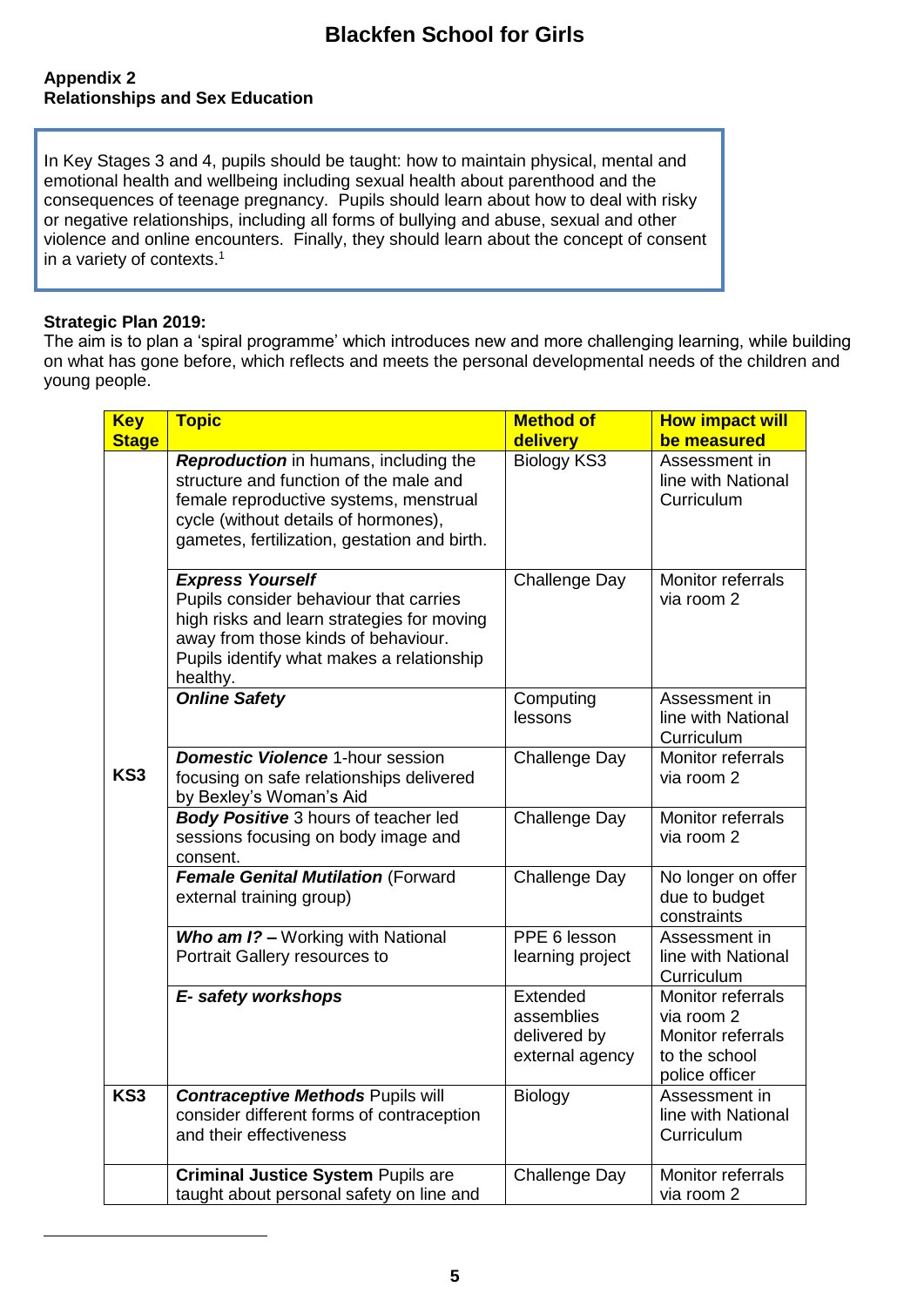## **Appendix 2 Relationships and Sex Education**

In Key Stages 3 and 4, pupils should be taught: how to maintain physical, mental and emotional health and wellbeing including sexual health about parenthood and the consequences of teenage pregnancy. Pupils should learn about how to deal with risky or negative relationships, including all forms of bullying and abuse, sexual and other violence and online encounters. Finally, they should learn about the concept of consent in a variety of contexts. $1$ 

#### **Strategic Plan 2019:**

 $\overline{a}$ 

The aim is to plan a 'spiral programme' which introduces new and more challenging learning, while building on what has gone before, which reflects and meets the personal developmental needs of the children and young people.

| <b>Key</b><br><b>Stage</b> | <b>Topic</b>                                                                                                                                                                                                      | <b>Method of</b><br>delivery                              | <b>How impact will</b><br>be measured                                                   |
|----------------------------|-------------------------------------------------------------------------------------------------------------------------------------------------------------------------------------------------------------------|-----------------------------------------------------------|-----------------------------------------------------------------------------------------|
| KS <sub>3</sub>            | Reproduction in humans, including the<br>structure and function of the male and<br>female reproductive systems, menstrual<br>cycle (without details of hormones),<br>gametes, fertilization, gestation and birth. | Biology KS3                                               | Assessment in<br>line with National<br>Curriculum                                       |
|                            | <b>Express Yourself</b><br>Pupils consider behaviour that carries<br>high risks and learn strategies for moving<br>away from those kinds of behaviour.<br>Pupils identify what makes a relationship<br>healthy.   | <b>Challenge Day</b>                                      | Monitor referrals<br>via room 2                                                         |
|                            | <b>Online Safety</b>                                                                                                                                                                                              | Computing<br>lessons                                      | Assessment in<br>line with National<br>Curriculum                                       |
|                            | <b>Domestic Violence 1-hour session</b><br>focusing on safe relationships delivered<br>by Bexley's Woman's Aid                                                                                                    | <b>Challenge Day</b>                                      | Monitor referrals<br>via room 2                                                         |
|                            | Body Positive 3 hours of teacher led<br>sessions focusing on body image and<br>consent.                                                                                                                           | <b>Challenge Day</b>                                      | Monitor referrals<br>via room 2                                                         |
|                            | Female Genital Mutilation (Forward<br>external training group)                                                                                                                                                    | <b>Challenge Day</b>                                      | No longer on offer<br>due to budget<br>constraints                                      |
|                            | Who am I? - Working with National<br>Portrait Gallery resources to                                                                                                                                                | PPE 6 lesson<br>learning project                          | Assessment in<br>line with National<br>Curriculum                                       |
|                            | E- safety workshops                                                                                                                                                                                               | Extended<br>assemblies<br>delivered by<br>external agency | Monitor referrals<br>via room 2<br>Monitor referrals<br>to the school<br>police officer |
| KS3                        | <b>Contraceptive Methods Pupils will</b><br>consider different forms of contraception<br>and their effectiveness                                                                                                  | Biology                                                   | Assessment in<br>line with National<br>Curriculum                                       |
|                            | <b>Criminal Justice System Pupils are</b><br>taught about personal safety on line and                                                                                                                             | <b>Challenge Day</b>                                      | Monitor referrals<br>via room 2                                                         |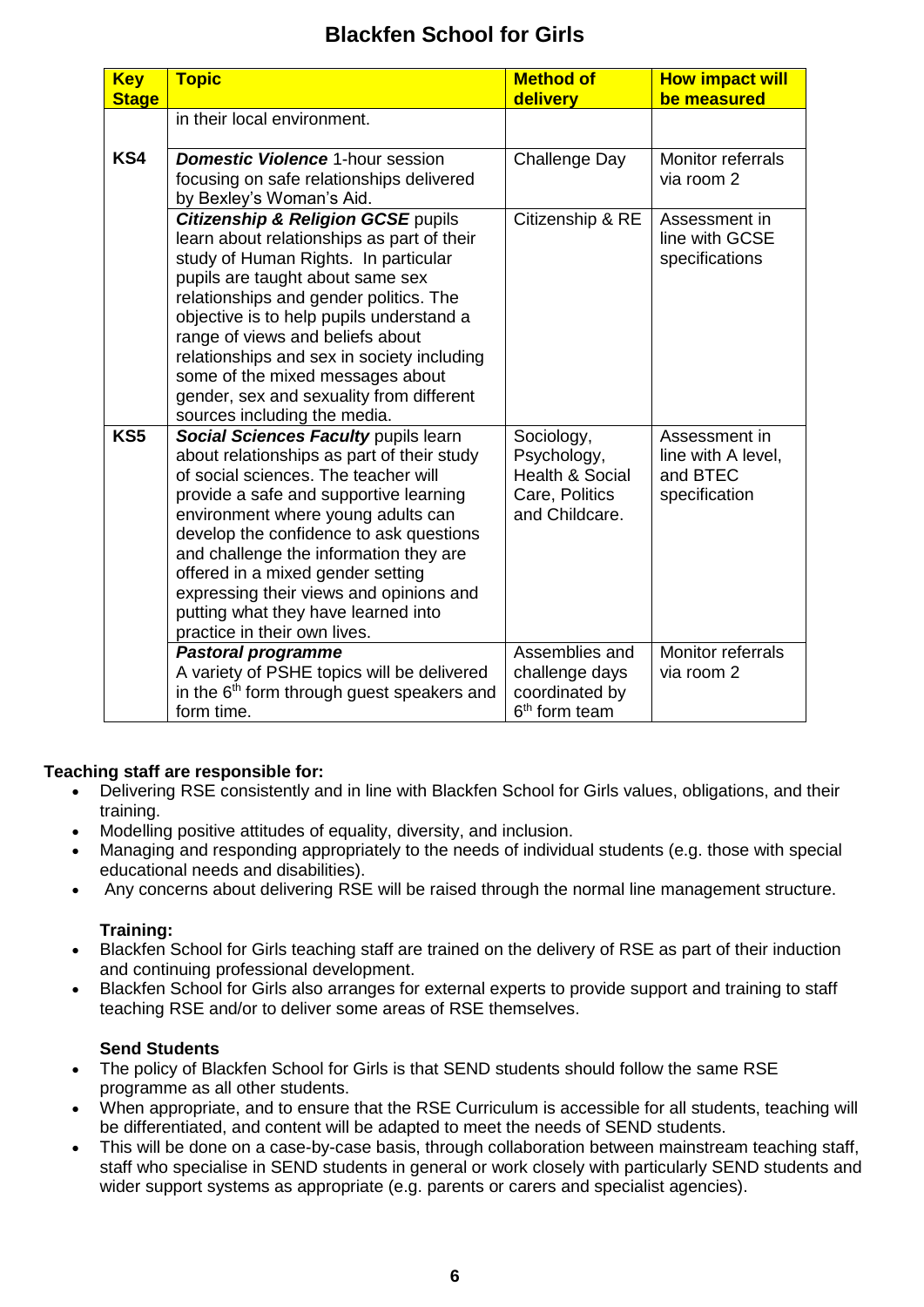| <b>Key</b><br><b>Stage</b> | <b>Topic</b>                                                                                                                                                                                                                                                                                                                                                                                                                                                    | <b>Method of</b><br>delivery                                                                | <b>How impact will</b><br>be measured                            |
|----------------------------|-----------------------------------------------------------------------------------------------------------------------------------------------------------------------------------------------------------------------------------------------------------------------------------------------------------------------------------------------------------------------------------------------------------------------------------------------------------------|---------------------------------------------------------------------------------------------|------------------------------------------------------------------|
|                            | in their local environment.                                                                                                                                                                                                                                                                                                                                                                                                                                     |                                                                                             |                                                                  |
| KS4                        | <b>Domestic Violence 1-hour session</b><br>focusing on safe relationships delivered<br>by Bexley's Woman's Aid.                                                                                                                                                                                                                                                                                                                                                 | <b>Challenge Day</b>                                                                        | Monitor referrals<br>via room 2                                  |
|                            | <b>Citizenship &amp; Religion GCSE pupils</b><br>learn about relationships as part of their<br>study of Human Rights. In particular<br>pupils are taught about same sex<br>relationships and gender politics. The<br>objective is to help pupils understand a<br>range of views and beliefs about<br>relationships and sex in society including<br>some of the mixed messages about<br>gender, sex and sexuality from different<br>sources including the media. | Citizenship & RE                                                                            | Assessment in<br>line with GCSE<br>specifications                |
| KS5                        | Social Sciences Faculty pupils learn<br>about relationships as part of their study<br>of social sciences. The teacher will<br>provide a safe and supportive learning<br>environment where young adults can<br>develop the confidence to ask questions<br>and challenge the information they are<br>offered in a mixed gender setting<br>expressing their views and opinions and<br>putting what they have learned into<br>practice in their own lives.          | Sociology,<br>Psychology,<br><b>Health &amp; Social</b><br>Care, Politics<br>and Childcare. | Assessment in<br>line with A level,<br>and BTEC<br>specification |
|                            | <b>Pastoral programme</b><br>A variety of PSHE topics will be delivered<br>in the 6 <sup>th</sup> form through guest speakers and<br>form time.                                                                                                                                                                                                                                                                                                                 | Assemblies and<br>challenge days<br>coordinated by<br>6 <sup>th</sup> form team             | Monitor referrals<br>via room 2                                  |

# **Teaching staff are responsible for:**

- Delivering RSE consistently and in line with Blackfen School for Girls values, obligations, and their training.
- Modelling positive attitudes of equality, diversity, and inclusion.
- Managing and responding appropriately to the needs of individual students (e.g. those with special educational needs and disabilities).
- Any concerns about delivering RSE will be raised through the normal line management structure.

# **Training:**

- Blackfen School for Girls teaching staff are trained on the delivery of RSE as part of their induction and continuing professional development.
- Blackfen School for Girls also arranges for external experts to provide support and training to staff teaching RSE and/or to deliver some areas of RSE themselves.

# **Send Students**

- The policy of Blackfen School for Girls is that SEND students should follow the same RSE programme as all other students.
- When appropriate, and to ensure that the RSE Curriculum is accessible for all students, teaching will be differentiated, and content will be adapted to meet the needs of SEND students.
- This will be done on a case-by-case basis, through collaboration between mainstream teaching staff, staff who specialise in SEND students in general or work closely with particularly SEND students and wider support systems as appropriate (e.g. parents or carers and specialist agencies).